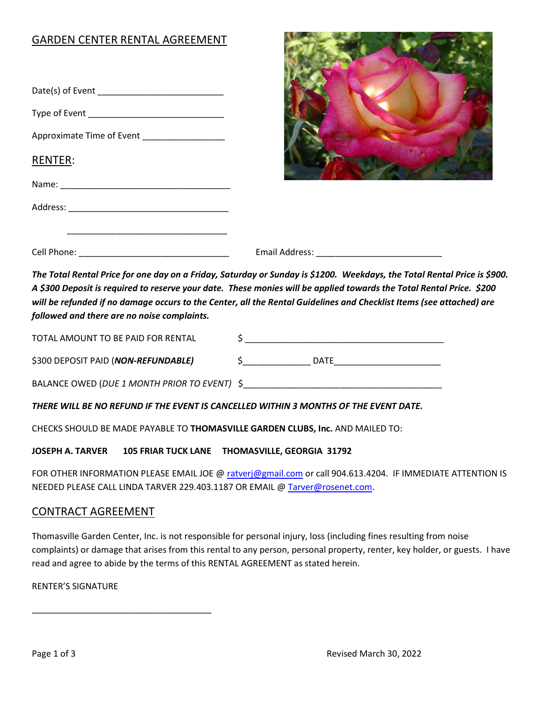# GARDEN CENTER RENTAL AGREEMENT

| Approximate Time of Event _____________________ |  |
|-------------------------------------------------|--|
| RENTER:                                         |  |
|                                                 |  |
|                                                 |  |
|                                                 |  |
|                                                 |  |

The Total Rental Price for one day on a Friday, Saturday or Sunday is \$1200. Weekdays, the Total Rental Price is \$900. A \$300 Deposit is required to reserve your date. These monies will be applied towards the Total Rental Price. \$200 will be refunded if no damage occurs to the Center, all the Rental Guidelines and Checklist Items (see attached) are followed and there are no noise complaints.

| TOTAL AMOUNT TO BE PAID FOR RENTAL           |             |
|----------------------------------------------|-------------|
| \$300 DEPOSIT PAID (NON-REFUNDABLE)          | <b>DATE</b> |
| BALANCE OWED (DUE 1 MONTH PRIOR TO EVENT) \$ |             |

THERE WILL BE NO REFUND IF THE EVENT IS CANCELLED WITHIN 3 MONTHS OF THE EVENT DATE.

CHECKS SHOULD BE MADE PAYABLE TO THOMASVILLE GARDEN CLUBS, Inc. AND MAILED TO:

JOSEPH A. TARVER 105 FRIAR TUCK LANE THOMASVILLE, GEORGIA 31792

FOR OTHER INFORMATION PLEASE EMAIL JOE @ ratverj@gmail.com or call 904.613.4204. IF IMMEDIATE ATTENTION IS NEEDED PLEASE CALL LINDA TARVER 229.403.1187 OR EMAIL @ Tarver@rosenet.com.

## CONTRACT AGREEMENT

\_\_\_\_\_\_\_\_\_\_\_\_\_\_\_\_\_\_\_\_\_\_\_\_\_\_\_\_\_\_\_\_\_\_\_\_\_

Thomasville Garden Center, Inc. is not responsible for personal injury, loss (including fines resulting from noise complaints) or damage that arises from this rental to any person, personal property, renter, key holder, or guests. I have read and agree to abide by the terms of this RENTAL AGREEMENT as stated herein.

RENTER'S SIGNATURE

**DESCRIPTION OF PROPERTY**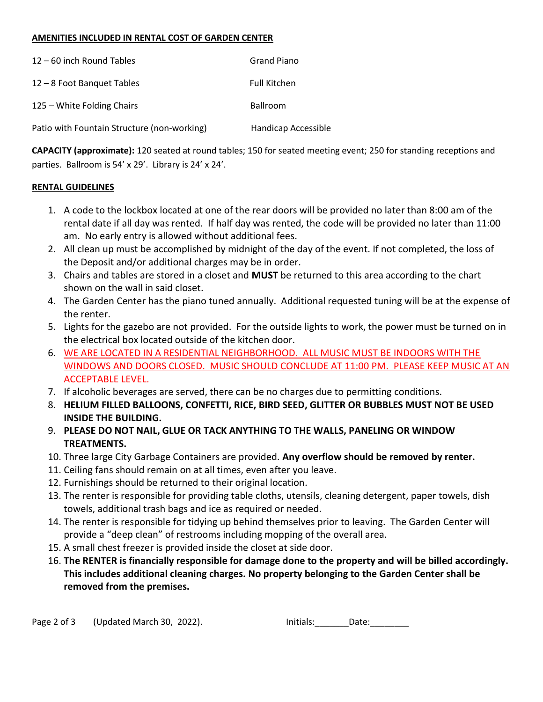#### AMENITIES INCLUDED IN RENTAL COST OF GARDEN CENTER

| 12 - 60 inch Round Tables                   | Grand Piano         |
|---------------------------------------------|---------------------|
| 12 - 8 Foot Banquet Tables                  | <b>Full Kitchen</b> |
| 125 – White Folding Chairs                  | <b>Ballroom</b>     |
| Patio with Fountain Structure (non-working) | Handicap Accessible |

CAPACITY (approximate): 120 seated at round tables; 150 for seated meeting event; 250 for standing receptions and parties. Ballroom is 54' x 29'. Library is 24' x 24'.

#### RENTAL GUIDELINES

- 1. A code to the lockbox located at one of the rear doors will be provided no later than 8:00 am of the rental date if all day was rented. If half day was rented, the code will be provided no later than 11:00 am. No early entry is allowed without additional fees.
- 2. All clean up must be accomplished by midnight of the day of the event. If not completed, the loss of the Deposit and/or additional charges may be in order.
- 3. Chairs and tables are stored in a closet and MUST be returned to this area according to the chart shown on the wall in said closet.
- 4. The Garden Center has the piano tuned annually. Additional requested tuning will be at the expense of the renter.
- 5. Lights for the gazebo are not provided. For the outside lights to work, the power must be turned on in the electrical box located outside of the kitchen door.
- 6. WE ARE LOCATED IN A RESIDENTIAL NEIGHBORHOOD. ALL MUSIC MUST BE INDOORS WITH THE WINDOWS AND DOORS CLOSED. MUSIC SHOULD CONCLUDE AT 11:00 PM. PLEASE KEEP MUSIC AT AN ACCEPTABLE LEVEL.
- 7. If alcoholic beverages are served, there can be no charges due to permitting conditions.
- 8. HELIUM FILLED BALLOONS, CONFETTI, RICE, BIRD SEED, GLITTER OR BUBBLES MUST NOT BE USED INSIDE THE BUILDING.
- 9. PLEASE DO NOT NAIL, GLUE OR TACK ANYTHING TO THE WALLS, PANELING OR WINDOW TREATMENTS.
- 10. Three large City Garbage Containers are provided. Any overflow should be removed by renter.
- 11. Ceiling fans should remain on at all times, even after you leave.
- 12. Furnishings should be returned to their original location.
- 13. The renter is responsible for providing table cloths, utensils, cleaning detergent, paper towels, dish towels, additional trash bags and ice as required or needed.
- 14. The renter is responsible for tidying up behind themselves prior to leaving. The Garden Center will provide a "deep clean" of restrooms including mopping of the overall area.
- 15. A small chest freezer is provided inside the closet at side door.
- 16. The RENTER is financially responsible for damage done to the property and will be billed accordingly. This includes additional cleaning charges. No property belonging to the Garden Center shall be removed from the premises.

| Initials: |       |
|-----------|-------|
|           | Date: |